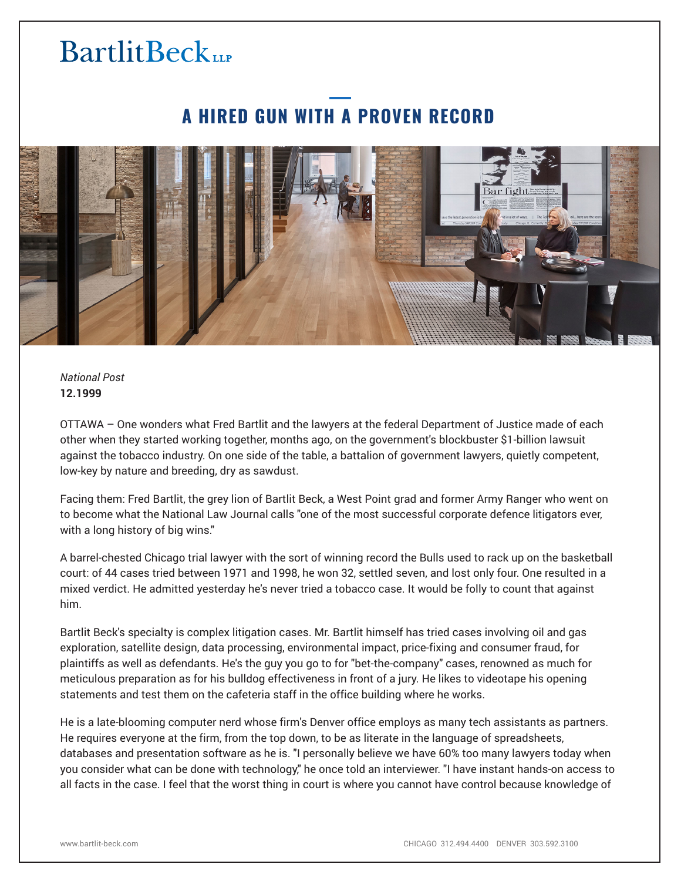## **BartlitBeck**

## **A HIRED GUN WITH A PROVEN RECORD**



*National Post* **12.1999**

OTTAWA – One wonders what Fred Bartlit and the lawyers at the federal Department of Justice made of each other when they started working together, months ago, on the government's blockbuster \$1-billion lawsuit against the tobacco industry. On one side of the table, a battalion of government lawyers, quietly competent, low-key by nature and breeding, dry as sawdust.

Facing them: Fred Bartlit, the grey lion of Bartlit Beck, a West Point grad and former Army Ranger who went on to become what the National Law Journal calls "one of the most successful corporate defence litigators ever, with a long history of big wins."

A barrel-chested Chicago trial lawyer with the sort of winning record the Bulls used to rack up on the basketball court: of 44 cases tried between 1971 and 1998, he won 32, settled seven, and lost only four. One resulted in a mixed verdict. He admitted yesterday he's never tried a tobacco case. It would be folly to count that against him.

Bartlit Beck's specialty is complex litigation cases. Mr. Bartlit himself has tried cases involving oil and gas exploration, satellite design, data processing, environmental impact, price-fixing and consumer fraud, for plaintiffs as well as defendants. He's the guy you go to for "bet-the-company" cases, renowned as much for meticulous preparation as for his bulldog effectiveness in front of a jury. He likes to videotape his opening statements and test them on the cafeteria staff in the office building where he works.

He is a late-blooming computer nerd whose firm's Denver office employs as many tech assistants as partners. He requires everyone at the firm, from the top down, to be as literate in the language of spreadsheets, databases and presentation software as he is. "I personally believe we have 60% too many lawyers today when you consider what can be done with technology," he once told an interviewer. "I have instant hands-on access to all facts in the case. I feel that the worst thing in court is where you cannot have control because knowledge of